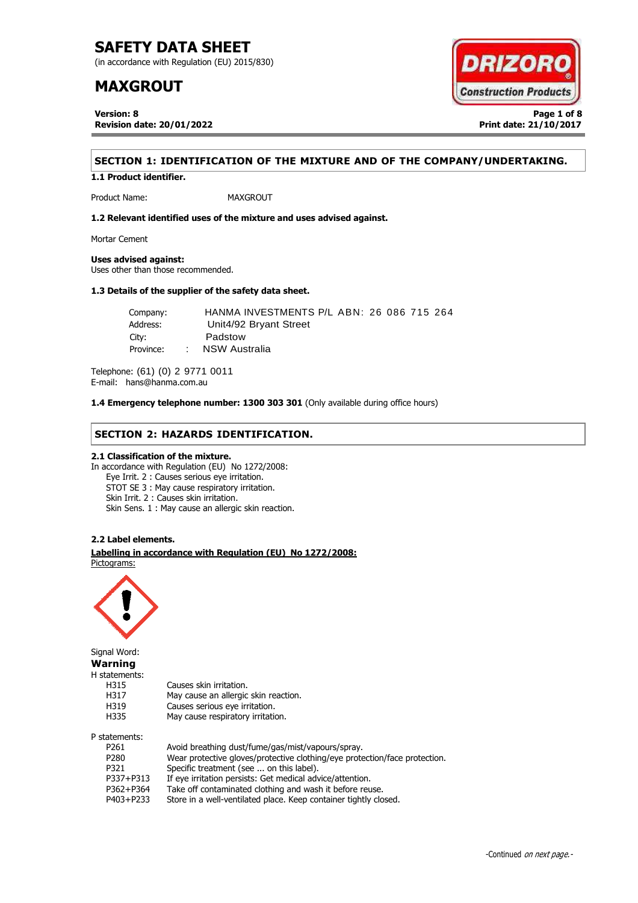(in accordance with Regulation (EU) 2015/830)

## **MAXGROUT**

**Version: 8 Page 1 of 8 Revision date: 20/01/2022 Print date: 21/10/2017**



### **SECTION 1: IDENTIFICATION OF THE MIXTURE AND OF THE COMPANY/UNDERTAKING.**

**1.1 Product identifier.**

Product Name: MAXGROUT

**1.2 Relevant identified uses of the mixture and uses advised against.**

Mortar Cement

#### **Uses advised against:**

Uses other than those recommended.

#### **1.3 Details of the supplier of the safety data sheet.**

| Company:  | HANMA INVESTMENTS P/L ABN: 26 086 715 264 |  |
|-----------|-------------------------------------------|--|
| Address:  | Unit4/92 Bryant Street                    |  |
| City:     | Padstow                                   |  |
| Province: | : NSW Australia                           |  |

Telephone: (61) (0) 2 9771 0011 E-mail: hans@hanma.com.au

**1.4 Emergency telephone number: 1300 303 301** (Only available during office hours)

#### **SECTION 2: HAZARDS IDENTIFICATION.**

#### **2.1 Classification of the mixture.**

In accordance with Regulation (EU) No 1272/2008: Eye Irrit. 2 : Causes serious eye irritation. STOT SE 3 : May cause respiratory irritation. Skin Irrit. 2 : Causes skin irritation. Skin Sens. 1 : May cause an allergic skin reaction.

#### **2.2 Label elements.**

. . **Labelling in accordance with Regulation (EU) No 1272/2008:** Pictograms:

May cause an allergic skin reaction.

May cause respiratory irritation.



Signal Word: **Warning** H statements: H315 Causes skin irritation.<br>H317 May cause an allergic H319 Causes serious eye irritation.<br>H335 May cause respiratory irritation

P statements:

| P261      | Avoid breathing dust/fume/gas/mist/vapours/spray.                          |
|-----------|----------------------------------------------------------------------------|
| P280      | Wear protective gloves/protective clothing/eye protection/face protection. |
| P321      | Specific treatment (see  on this label).                                   |
| P337+P313 | If eye irritation persists: Get medical advice/attention.                  |
| P362+P364 | Take off contaminated clothing and wash it before reuse.                   |
| P403+P233 | Store in a well-ventilated place. Keep container tightly closed.           |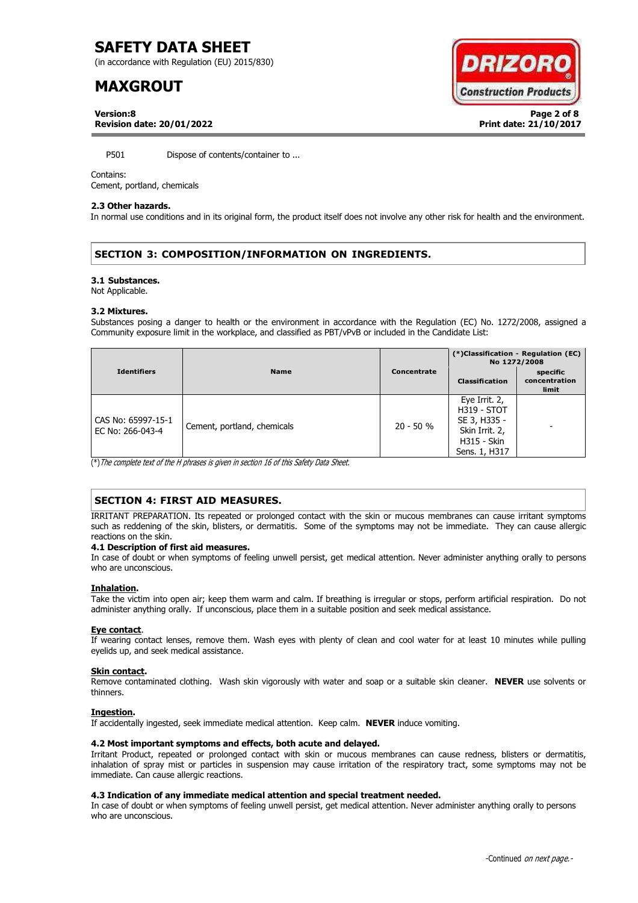(in accordance with Regulation (EU) 2015/830)

## **MAXGROUT**



**Version:8 Page 2 of 8 Revision date: 20/01/2022 Print date: 21/10/2017**

P501 Dispose of contents/container to ...

#### Contains:

Cement, portland, chemicals

#### **2.3 Other hazards.**

In normal use conditions and in its original form, the product itself does not involve any other risk for health and the environment.

#### **SECTION 3: COMPOSITION/INFORMATION ON INGREDIENTS.**

#### **3.1 Substances.**

Not Applicable.

#### **3.2 Mixtures.**

Substances posing a danger to health or the environment in accordance with the Regulation (EC) No. 1272/2008, assigned a Community exposure limit in the workplace, and classified as PBT/vPvB or included in the Candidate List:

|                                        |                             |             | (*)Classification - Regulation (EC)<br>No 1272/2008                                                          |                                    |
|----------------------------------------|-----------------------------|-------------|--------------------------------------------------------------------------------------------------------------|------------------------------------|
| <b>Identifiers</b>                     | <b>Name</b>                 | Concentrate | <b>Classification</b>                                                                                        | specific<br>concentration<br>limit |
| CAS No: 65997-15-1<br>EC No: 266-043-4 | Cement, portland, chemicals | $20 - 50 %$ | Eye Irrit. 2,<br><b>H319 - STOT</b><br>SE 3, H335 -<br>Skin Irrit. 2,<br><b>H315 - Skin</b><br>Sens. 1, H317 |                                    |

(\*)The complete text of the H phrases is given in section 16 of this Safety Data Sheet.

#### **SECTION 4: FIRST AID MEASURES.**

IRRITANT PREPARATION. Its repeated or prolonged contact with the skin or mucous membranes can cause irritant symptoms such as reddening of the skin, blisters, or dermatitis. Some of the symptoms may not be immediate. They can cause allergic reactions on the skin.

#### **4.1 Description of first aid measures.**

In case of doubt or when symptoms of feeling unwell persist, get medical attention. Never administer anything orally to persons who are unconscious.

#### **Inhalation.**

Take the victim into open air; keep them warm and calm. If breathing is irregular or stops, perform artificial respiration. Do not administer anything orally. If unconscious, place them in a suitable position and seek medical assistance.

#### **Eye contact**.

If wearing contact lenses, remove them. Wash eyes with plenty of clean and cool water for at least 10 minutes while pulling eyelids up, and seek medical assistance.

#### **Skin contact.**

Remove contaminated clothing. Wash skin vigorously with water and soap or a suitable skin cleaner. **NEVER** use solvents or thinners.

#### **Ingestion.**

If accidentally ingested, seek immediate medical attention. Keep calm. **NEVER** induce vomiting.

#### **4.2 Most important symptoms and effects, both acute and delayed.**

Irritant Product, repeated or prolonged contact with skin or mucous membranes can cause redness, blisters or dermatitis, inhalation of spray mist or particles in suspension may cause irritation of the respiratory tract, some symptoms may not be immediate. Can cause allergic reactions.

#### **4.3 Indication of any immediate medical attention and special treatment needed.**

In case of doubt or when symptoms of feeling unwell persist, get medical attention. Never administer anything orally to persons who are unconscious.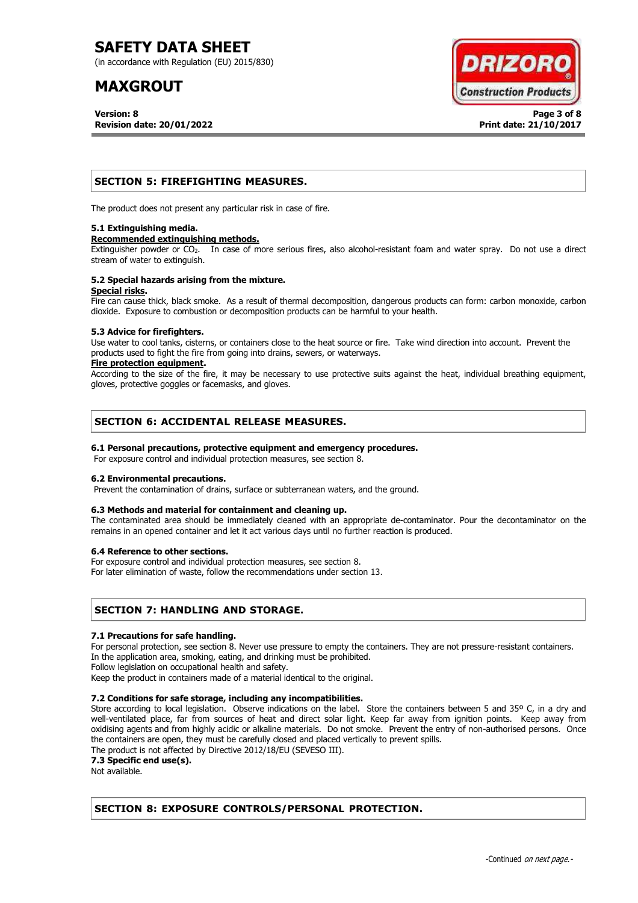(in accordance with Regulation (EU) 2015/830)

## **MAXGROUT**

**Version: 8 Page 3 of 8 Revision date: 20/01/2022 Print date: 21/10/2017**



#### **SECTION 5: FIREFIGHTING MEASURES.**

The product does not present any particular risk in case of fire.

#### **5.1 Extinguishing media.**

#### **Recommended extinguishing methods.**

Extinguisher powder or CO<sub>2</sub>. In case of more serious fires, also alcohol-resistant foam and water spray. Do not use a direct stream of water to extinguish.

#### **5.2 Special hazards arising from the mixture. Special risks.**

Fire can cause thick, black smoke. As a result of thermal decomposition, dangerous products can form: carbon monoxide, carbon dioxide. Exposure to combustion or decomposition products can be harmful to your health.

#### **5.3 Advice for firefighters.**

Use water to cool tanks, cisterns, or containers close to the heat source or fire. Take wind direction into account. Prevent the products used to fight the fire from going into drains, sewers, or waterways.

#### **Fire protection equipment.**

According to the size of the fire, it may be necessary to use protective suits against the heat, individual breathing equipment, gloves, protective goggles or facemasks, and gloves.

#### **SECTION 6: ACCIDENTAL RELEASE MEASURES.**

#### **6.1 Personal precautions, protective equipment and emergency procedures.**

For exposure control and individual protection measures, see section 8.

#### **6.2 Environmental precautions.**

Prevent the contamination of drains, surface or subterranean waters, and the ground.

#### **6.3 Methods and material for containment and cleaning up.**

The contaminated area should be immediately cleaned with an appropriate de-contaminator. Pour the decontaminator on the remains in an opened container and let it act various days until no further reaction is produced.

#### **6.4 Reference to other sections.**

For exposure control and individual protection measures, see section 8.

For later elimination of waste, follow the recommendations under section 13.

#### **SECTION 7: HANDLING AND STORAGE.**

#### **7.1 Precautions for safe handling.**

For personal protection, see section 8. Never use pressure to empty the containers. They are not pressure-resistant containers. In the application area, smoking, eating, and drinking must be prohibited.

Follow legislation on occupational health and safety.

Keep the product in containers made of a material identical to the original.

#### **7.2 Conditions for safe storage, including any incompatibilities.**

Store according to local legislation. Observe indications on the label. Store the containers between 5 and 35° C, in a dry and well-ventilated place, far from sources of heat and direct solar light. Keep far away from ignition points. Keep away from oxidising agents and from highly acidic or alkaline materials. Do not smoke. Prevent the entry of non-authorised persons. Once the containers are open, they must be carefully closed and placed vertically to prevent spills.

The product is not affected by Directive 2012/18/EU (SEVESO III).

**7.3 Specific end use(s).**

Not available.

#### **SECTION 8: EXPOSURE CONTROLS/PERSONAL PROTECTION.**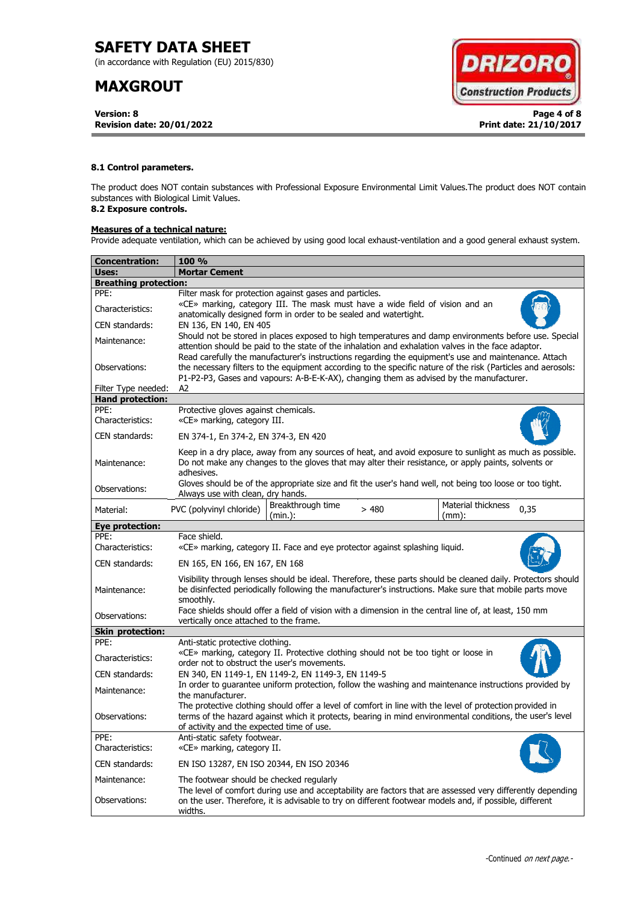(in accordance with Regulation (EU) 2015/830)

## **MAXGROUT**

**Version: 8 Page 4 of 8 Revision date: 20/01/2022 Print date: 21/10/2017**



#### **8.1 Control parameters.**

The product does NOT contain substances with Professional Exposure Environmental Limit Values.The product does NOT contain substances with Biological Limit Values.

## **8.2 Exposure controls.**

#### **Measures of a technical nature:**

Provide adequate ventilation, which can be achieved by using good local exhaust-ventilation and a good general exhaust system.

| <b>Concentration:</b>        | <b>100 %</b>                                                                                                                                                                                                                                                                                                        |  |  |  |  |  |  |
|------------------------------|---------------------------------------------------------------------------------------------------------------------------------------------------------------------------------------------------------------------------------------------------------------------------------------------------------------------|--|--|--|--|--|--|
| Uses:                        | <b>Mortar Cement</b>                                                                                                                                                                                                                                                                                                |  |  |  |  |  |  |
| <b>Breathing protection:</b> |                                                                                                                                                                                                                                                                                                                     |  |  |  |  |  |  |
| PPE:                         | Filter mask for protection against gases and particles.                                                                                                                                                                                                                                                             |  |  |  |  |  |  |
| Characteristics:             | «CE» marking, category III. The mask must have a wide field of vision and an<br>anatomically designed form in order to be sealed and watertight.                                                                                                                                                                    |  |  |  |  |  |  |
| CEN standards:               | EN 136, EN 140, EN 405                                                                                                                                                                                                                                                                                              |  |  |  |  |  |  |
| Maintenance:                 | Should not be stored in places exposed to high temperatures and damp environments before use. Special<br>attention should be paid to the state of the inhalation and exhalation valves in the face adaptor.<br>Read carefully the manufacturer's instructions regarding the equipment's use and maintenance. Attach |  |  |  |  |  |  |
| Observations:                | the necessary filters to the equipment according to the specific nature of the risk (Particles and aerosols:<br>P1-P2-P3, Gases and vapours: A-B-E-K-AX), changing them as advised by the manufacturer.                                                                                                             |  |  |  |  |  |  |
| Filter Type needed:          | A2                                                                                                                                                                                                                                                                                                                  |  |  |  |  |  |  |
| <b>Hand protection:</b>      |                                                                                                                                                                                                                                                                                                                     |  |  |  |  |  |  |
| PPE:<br>Characteristics:     | Protective gloves against chemicals.<br>«CE» marking, category III.                                                                                                                                                                                                                                                 |  |  |  |  |  |  |
| CEN standards:               | EN 374-1, En 374-2, EN 374-3, EN 420                                                                                                                                                                                                                                                                                |  |  |  |  |  |  |
| Maintenance:                 | Keep in a dry place, away from any sources of heat, and avoid exposure to sunlight as much as possible.<br>Do not make any changes to the gloves that may alter their resistance, or apply paints, solvents or<br>adhesives.                                                                                        |  |  |  |  |  |  |
| Observations:                | Gloves should be of the appropriate size and fit the user's hand well, not being too loose or too tight.<br>Always use with clean, dry hands.                                                                                                                                                                       |  |  |  |  |  |  |
| Material:                    | Breakthrough time<br>Material thickness<br>PVC (polyvinyl chloride)<br>>480<br>0,35<br>(min.):<br>$(mm)$ :                                                                                                                                                                                                          |  |  |  |  |  |  |
| <b>Eye protection:</b>       |                                                                                                                                                                                                                                                                                                                     |  |  |  |  |  |  |
| PPE:<br>Characteristics:     | Face shield.<br>«CE» marking, category II. Face and eye protector against splashing liquid.                                                                                                                                                                                                                         |  |  |  |  |  |  |
| CEN standards:               | EN 165, EN 166, EN 167, EN 168                                                                                                                                                                                                                                                                                      |  |  |  |  |  |  |
| Maintenance:                 | Visibility through lenses should be ideal. Therefore, these parts should be cleaned daily. Protectors should<br>be disinfected periodically following the manufacturer's instructions. Make sure that mobile parts move<br>smoothly.                                                                                |  |  |  |  |  |  |
| Observations:                | Face shields should offer a field of vision with a dimension in the central line of, at least, 150 mm<br>vertically once attached to the frame.                                                                                                                                                                     |  |  |  |  |  |  |
| <b>Skin protection:</b>      |                                                                                                                                                                                                                                                                                                                     |  |  |  |  |  |  |
| PPE:                         | Anti-static protective clothing.                                                                                                                                                                                                                                                                                    |  |  |  |  |  |  |
| Characteristics:             | «CE» marking, category II. Protective clothing should not be too tight or loose in<br>order not to obstruct the user's movements.                                                                                                                                                                                   |  |  |  |  |  |  |
| CEN standards:               | EN 340, EN 1149-1, EN 1149-2, EN 1149-3, EN 1149-5                                                                                                                                                                                                                                                                  |  |  |  |  |  |  |
| Maintenance:                 | In order to quarantee uniform protection, follow the washing and maintenance instructions provided by<br>the manufacturer.                                                                                                                                                                                          |  |  |  |  |  |  |
| Observations:                | The protective clothing should offer a level of comfort in line with the level of protection provided in<br>terms of the hazard against which it protects, bearing in mind environmental conditions, the user's level<br>of activity and the expected time of use.                                                  |  |  |  |  |  |  |
| PPE:<br>Characteristics:     | Anti-static safety footwear.<br>«CE» marking, category II.                                                                                                                                                                                                                                                          |  |  |  |  |  |  |
| CEN standards:               | EN ISO 13287, EN ISO 20344, EN ISO 20346                                                                                                                                                                                                                                                                            |  |  |  |  |  |  |
| Maintenance:                 | The footwear should be checked regularly                                                                                                                                                                                                                                                                            |  |  |  |  |  |  |
| Observations:                | The level of comfort during use and acceptability are factors that are assessed very differently depending<br>on the user. Therefore, it is advisable to try on different footwear models and, if possible, different<br>widths.                                                                                    |  |  |  |  |  |  |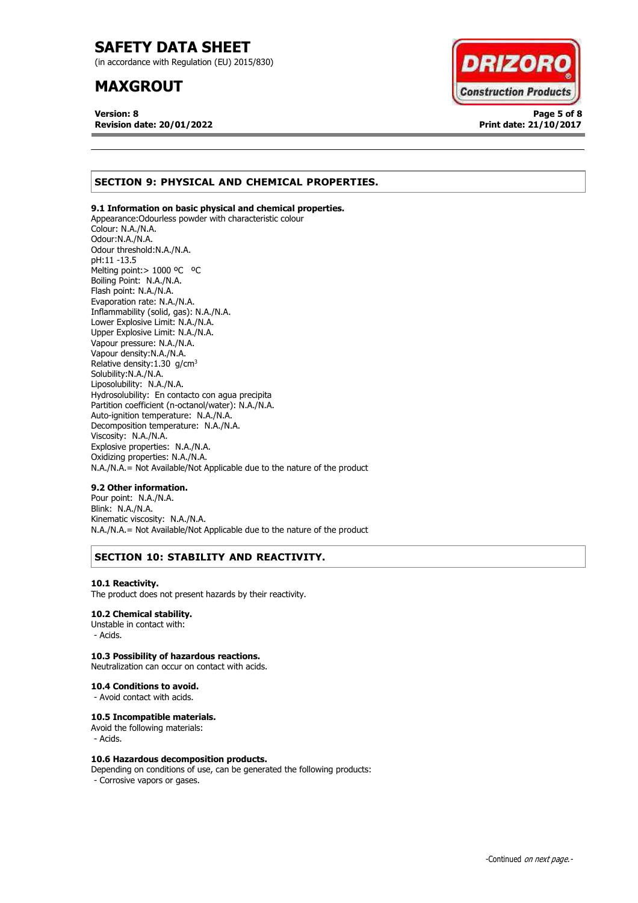(in accordance with Regulation (EU) 2015/830)

## **MAXGROUT**

**Version: 8 Page 5 of 8 Revision date: 20/01/2022 Print date: 21/10/2017**



#### **SECTION 9: PHYSICAL AND CHEMICAL PROPERTIES.**

#### **9.1 Information on basic physical and chemical properties.**

Appearance:Odourless powder with characteristic colour Colour: N.A./N.A. Odour:N.A./N.A. Odour threshold:N.A./N.A. pH:11 -13.5 Melting point: > 1000 °C °C Boiling Point: N.A./N.A. Flash point: N.A./N.A. Evaporation rate: N.A./N.A. Inflammability (solid, gas): N.A./N.A. Lower Explosive Limit: N.A./N.A. Upper Explosive Limit: N.A./N.A. Vapour pressure: N.A./N.A. Vapour density:N.A./N.A. Relative density:  $1.30$  g/cm<sup>3</sup> Solubility:N.A./N.A. Liposolubility: N.A./N.A. Hydrosolubility: En contacto con agua precipita Partition coefficient (n-octanol/water): N.A./N.A. Auto-ignition temperature: N.A./N.A. Decomposition temperature: N.A./N.A. Viscosity: N.A./N.A. Explosive properties: N.A./N.A. Oxidizing properties: N.A./N.A. N.A./N.A.= Not Available/Not Applicable due to the nature of the product

#### **9.2 Other information.**

Pour point: N.A./N.A. Blink: N.A./N.A. Kinematic viscosity: N.A./N.A. N.A./N.A.= Not Available/Not Applicable due to the nature of the product

#### **SECTION 10: STABILITY AND REACTIVITY.**

#### **10.1 Reactivity.**

The product does not present hazards by their reactivity.

#### **10.2 Chemical stability.**

Unstable in contact with: - Acids.

#### **10.3 Possibility of hazardous reactions.**

Neutralization can occur on contact with acids.

#### **10.4 Conditions to avoid.**

- Avoid contact with acids.

#### **10.5 Incompatible materials.**

Avoid the following materials: - Acids.

#### **10.6 Hazardous decomposition products.**

Depending on conditions of use, can be generated the following products: - Corrosive vapors or gases.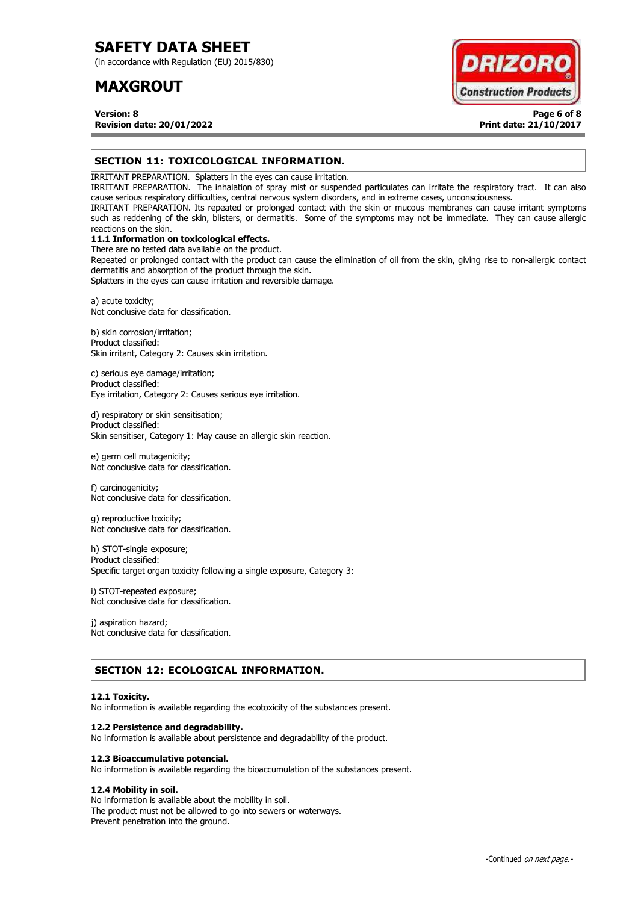(in accordance with Regulation (EU) 2015/830)

## **MAXGROUT**



**Version: 8 Page 6 of 8 Revision date: 20/01/2022 Print date: 21/10/2017**

#### **SECTION 11: TOXICOLOGICAL INFORMATION.**

IRRITANT PREPARATION. Splatters in the eyes can cause irritation.

IRRITANT PREPARATION. The inhalation of spray mist or suspended particulates can irritate the respiratory tract. It can also cause serious respiratory difficulties, central nervous system disorders, and in extreme cases, unconsciousness.

IRRITANT PREPARATION. Its repeated or prolonged contact with the skin or mucous membranes can cause irritant symptoms such as reddening of the skin, blisters, or dermatitis. Some of the symptoms may not be immediate. They can cause allergic reactions on the skin.

#### **11.1 Information on toxicological effects.**

There are no tested data available on the product. Repeated or prolonged contact with the product can cause the elimination of oil from the skin, giving rise to non-allergic contact dermatitis and absorption of the product through the skin.

Splatters in the eyes can cause irritation and reversible damage.

a) acute toxicity; Not conclusive data for classification.

b) skin corrosion/irritation; Product classified: Skin irritant, Category 2: Causes skin irritation.

c) serious eye damage/irritation; Product classified: Eye irritation, Category 2: Causes serious eye irritation.

d) respiratory or skin sensitisation; Product classified: Skin sensitiser, Category 1: May cause an allergic skin reaction.

e) germ cell mutagenicity; Not conclusive data for classification.

f) carcinogenicity; Not conclusive data for classification.

g) reproductive toxicity; Not conclusive data for classification.

h) STOT-single exposure; Product classified: Specific target organ toxicity following a single exposure, Category 3:

i) STOT-repeated exposure; Not conclusive data for classification.

j) aspiration hazard; Not conclusive data for classification.

#### **SECTION 12: ECOLOGICAL INFORMATION.**

#### **12.1 Toxicity.**

No information is available regarding the ecotoxicity of the substances present.

#### **12.2 Persistence and degradability.**

No information is available about persistence and degradability of the product.

#### **12.3 Bioaccumulative potencial.**

No information is available regarding the bioaccumulation of the substances present.

#### **12.4 Mobility in soil.**

No information is available about the mobility in soil. The product must not be allowed to go into sewers or waterways. Prevent penetration into the ground.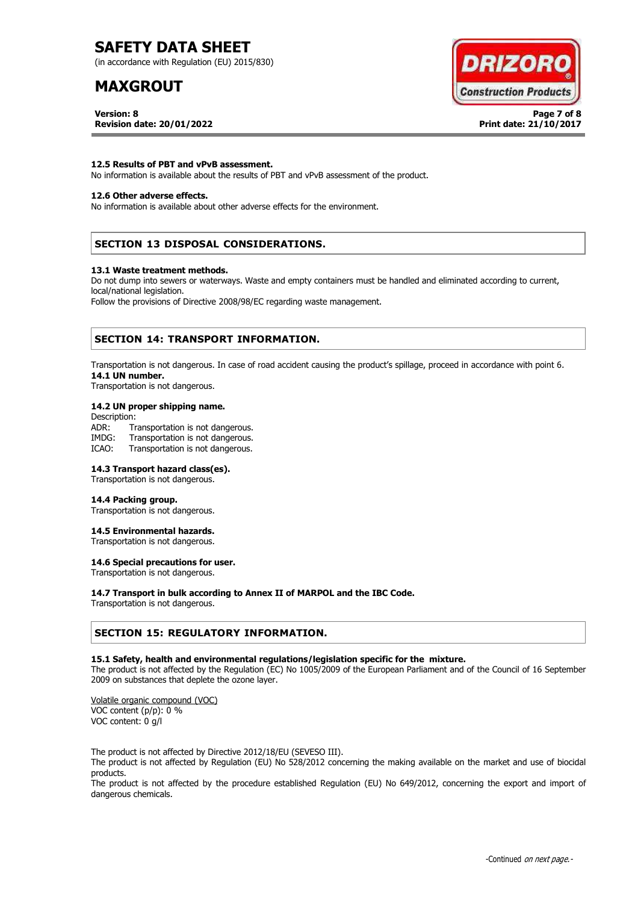(in accordance with Regulation (EU) 2015/830)

## **MAXGROUT**

# **DRIZORC Construction Products**

**Version: 8 Page 7 of 8 Revision date: 20/01/2022 Print date: 21/10/2017**

**12.5 Results of PBT and vPvB assessment.** No information is available about the results of PBT and vPvB assessment of the product.

#### **12.6 Other adverse effects.**

No information is available about other adverse effects for the environment.

#### **SECTION 13 DISPOSAL CONSIDERATIONS.**

#### **13.1 Waste treatment methods.**

Do not dump into sewers or waterways. Waste and empty containers must be handled and eliminated according to current, local/national legislation.

Follow the provisions of Directive 2008/98/EC regarding waste management.

#### **SECTION 14: TRANSPORT INFORMATION.**

Transportation is not dangerous. In case of road accident causing the product's spillage, proceed in accordance with point 6. **14.1 UN number.**

Transportation is not dangerous.

#### **14.2 UN proper shipping name.**

Description: ADR: Transportation is not dangerous.<br>IMDG: Transportation is not dangerous. Transportation is not dangerous. ICAO: Transportation is not dangerous.

#### **14.3 Transport hazard class(es).**

Transportation is not dangerous.

#### **14.4 Packing group.**

Transportation is not dangerous.

#### **14.5 Environmental hazards.**

Transportation is not dangerous.

#### **14.6 Special precautions for user.**

Transportation is not dangerous.

#### **14.7 Transport in bulk according to Annex II of MARPOL and the IBC Code.**

Transportation is not dangerous.

#### **SECTION 15: REGULATORY INFORMATION.**

#### **15.1 Safety, health and environmental regulations/legislation specific for the mixture.**

The product is not affected by the Regulation (EC) No 1005/2009 of the European Parliament and of the Council of 16 September 2009 on substances that deplete the ozone layer.

Volatile organic compound (VOC) VOC content (p/p): 0 % VOC content: 0 g/l

The product is not affected by Directive 2012/18/EU (SEVESO III).

The product is not affected by Regulation (EU) No 528/2012 concerning the making available on the market and use of biocidal products.

The product is not affected by the procedure established Regulation (EU) No 649/2012, concerning the export and import of dangerous chemicals.